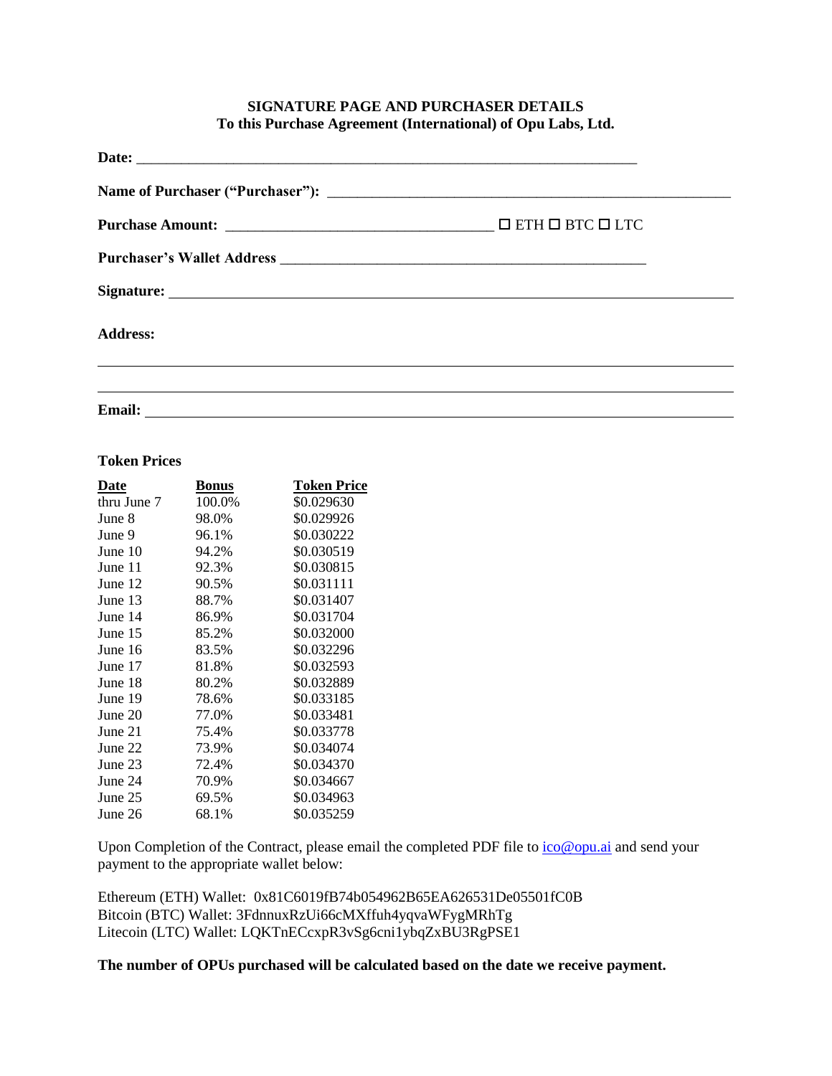# **SIGNATURE PAGE AND PURCHASER DETAILS To this Purchase Agreement (International) of Opu Labs, Ltd.**

| <b>Address:</b> |  |
|-----------------|--|
|                 |  |
| <b>Email:</b>   |  |

#### **Token Prices**

| Date        | Bonus  | Token Price |
|-------------|--------|-------------|
| thru June 7 | 100.0% | \$0.029630  |
| June 8      | 98.0%  | \$0.029926  |
| June 9      | 96.1%  | \$0.030222  |
| June 10     | 94.2%  | \$0.030519  |
| June 11     | 92.3%  | \$0.030815  |
| June 12     | 90.5%  | \$0.031111  |
| June 13     | 88.7%  | \$0.031407  |
| June 14     | 86.9%  | \$0.031704  |
| June 15     | 85.2%  | \$0.032000  |
| June 16     | 83.5%  | \$0.032296  |
| June 17     | 81.8%  | \$0.032593  |
| June 18     | 80.2%  | \$0.032889  |
| June 19     | 78.6%  | \$0.033185  |
| June 20     | 77.0%  | \$0.033481  |
| June 21     | 75.4%  | \$0.033778  |
| June 22     | 73.9%  | \$0.034074  |
| June 23     | 72.4%  | \$0.034370  |
| June 24     | 70.9%  | \$0.034667  |
| June 25     | 69.5%  | \$0.034963  |
| June 26     | 68.1%  | \$0.035259  |

Upon Completion of the Contract, please email the completed PDF file to  $\frac{i\pi}{2}$  and send your payment to the appropriate wallet below:

Ethereum (ETH) Wallet: 0x81C6019fB74b054962B65EA626531De05501fC0B Bitcoin (BTC) Wallet: 3FdnnuxRzUi66cMXffuh4yqvaWFygMRhTg Litecoin (LTC) Wallet: LQKTnECcxpR3vSg6cni1ybqZxBU3RgPSE1

**The number of OPUs purchased will be calculated based on the date we receive payment.**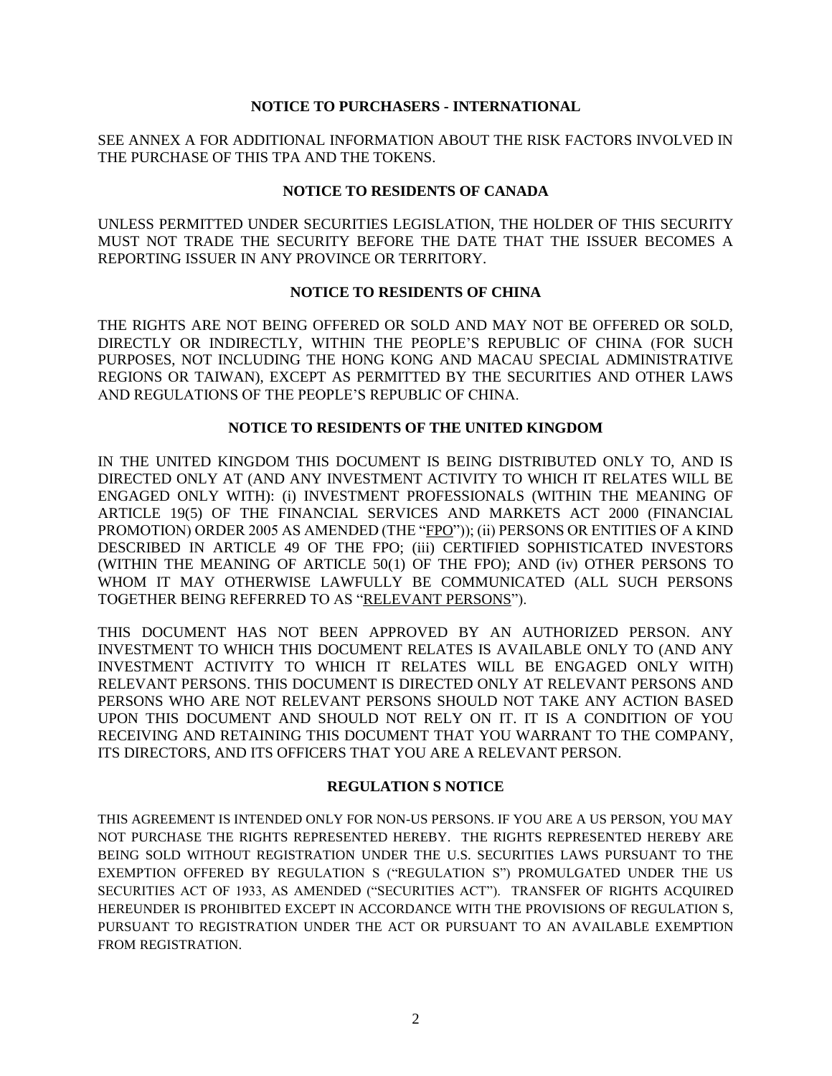### **NOTICE TO PURCHASERS - INTERNATIONAL**

SEE ANNEX A FOR ADDITIONAL INFORMATION ABOUT THE RISK FACTORS INVOLVED IN THE PURCHASE OF THIS TPA AND THE TOKENS.

### **NOTICE TO RESIDENTS OF CANADA**

UNLESS PERMITTED UNDER SECURITIES LEGISLATION, THE HOLDER OF THIS SECURITY MUST NOT TRADE THE SECURITY BEFORE THE DATE THAT THE ISSUER BECOMES A REPORTING ISSUER IN ANY PROVINCE OR TERRITORY.

#### **NOTICE TO RESIDENTS OF CHINA**

THE RIGHTS ARE NOT BEING OFFERED OR SOLD AND MAY NOT BE OFFERED OR SOLD, DIRECTLY OR INDIRECTLY, WITHIN THE PEOPLE'S REPUBLIC OF CHINA (FOR SUCH PURPOSES, NOT INCLUDING THE HONG KONG AND MACAU SPECIAL ADMINISTRATIVE REGIONS OR TAIWAN), EXCEPT AS PERMITTED BY THE SECURITIES AND OTHER LAWS AND REGULATIONS OF THE PEOPLE'S REPUBLIC OF CHINA.

### **NOTICE TO RESIDENTS OF THE UNITED KINGDOM**

IN THE UNITED KINGDOM THIS DOCUMENT IS BEING DISTRIBUTED ONLY TO, AND IS DIRECTED ONLY AT (AND ANY INVESTMENT ACTIVITY TO WHICH IT RELATES WILL BE ENGAGED ONLY WITH): (i) INVESTMENT PROFESSIONALS (WITHIN THE MEANING OF ARTICLE 19(5) OF THE FINANCIAL SERVICES AND MARKETS ACT 2000 (FINANCIAL PROMOTION) ORDER 2005 AS AMENDED (THE "FPO")); (ii) PERSONS OR ENTITIES OF A KIND DESCRIBED IN ARTICLE 49 OF THE FPO; (iii) CERTIFIED SOPHISTICATED INVESTORS (WITHIN THE MEANING OF ARTICLE 50(1) OF THE FPO); AND (iv) OTHER PERSONS TO WHOM IT MAY OTHERWISE LAWFULLY BE COMMUNICATED (ALL SUCH PERSONS TOGETHER BEING REFERRED TO AS "RELEVANT PERSONS").

THIS DOCUMENT HAS NOT BEEN APPROVED BY AN AUTHORIZED PERSON. ANY INVESTMENT TO WHICH THIS DOCUMENT RELATES IS AVAILABLE ONLY TO (AND ANY INVESTMENT ACTIVITY TO WHICH IT RELATES WILL BE ENGAGED ONLY WITH) RELEVANT PERSONS. THIS DOCUMENT IS DIRECTED ONLY AT RELEVANT PERSONS AND PERSONS WHO ARE NOT RELEVANT PERSONS SHOULD NOT TAKE ANY ACTION BASED UPON THIS DOCUMENT AND SHOULD NOT RELY ON IT. IT IS A CONDITION OF YOU RECEIVING AND RETAINING THIS DOCUMENT THAT YOU WARRANT TO THE COMPANY, ITS DIRECTORS, AND ITS OFFICERS THAT YOU ARE A RELEVANT PERSON.

#### **REGULATION S NOTICE**

THIS AGREEMENT IS INTENDED ONLY FOR NON-US PERSONS. IF YOU ARE A US PERSON, YOU MAY NOT PURCHASE THE RIGHTS REPRESENTED HEREBY. THE RIGHTS REPRESENTED HEREBY ARE BEING SOLD WITHOUT REGISTRATION UNDER THE U.S. SECURITIES LAWS PURSUANT TO THE EXEMPTION OFFERED BY REGULATION S ("REGULATION S") PROMULGATED UNDER THE US SECURITIES ACT OF 1933, AS AMENDED ("SECURITIES ACT"). TRANSFER OF RIGHTS ACQUIRED HEREUNDER IS PROHIBITED EXCEPT IN ACCORDANCE WITH THE PROVISIONS OF REGULATION S, PURSUANT TO REGISTRATION UNDER THE ACT OR PURSUANT TO AN AVAILABLE EXEMPTION FROM REGISTRATION.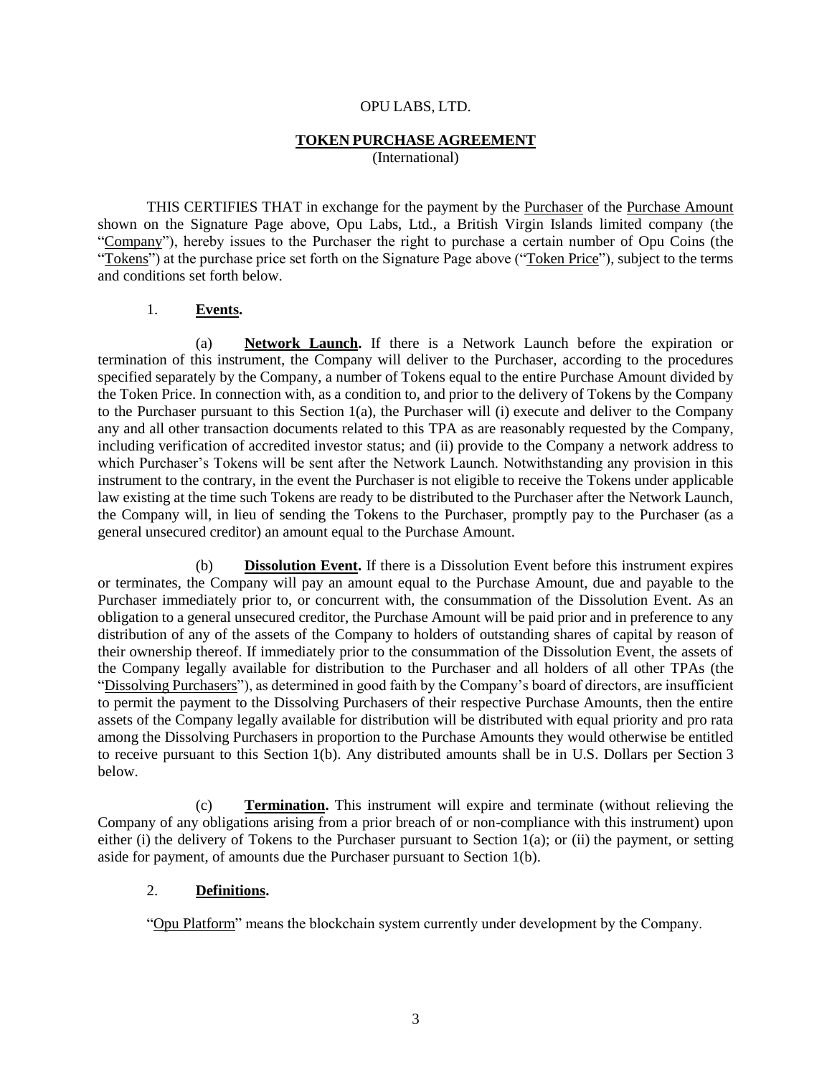#### OPU LABS, LTD.

#### **TOKEN PURCHASE AGREEMENT**

(International)

THIS CERTIFIES THAT in exchange for the payment by the Purchaser of the Purchase Amount shown on the Signature Page above, Opu Labs, Ltd., a British Virgin Islands limited company (the "Company"), hereby issues to the Purchaser the right to purchase a certain number of Opu Coins (the "Tokens") at the purchase price set forth on the Signature Page above ("Token Price"), subject to the terms and conditions set forth below.

### 1. **Events.**

(a) **Network Launch.** If there is a Network Launch before the expiration or termination of this instrument, the Company will deliver to the Purchaser, according to the procedures specified separately by the Company, a number of Tokens equal to the entire Purchase Amount divided by the Token Price. In connection with, as a condition to, and prior to the delivery of Tokens by the Company to the Purchaser pursuant to this Section 1(a), the Purchaser will (i) execute and deliver to the Company any and all other transaction documents related to this TPA as are reasonably requested by the Company, including verification of accredited investor status; and (ii) provide to the Company a network address to which Purchaser's Tokens will be sent after the Network Launch. Notwithstanding any provision in this instrument to the contrary, in the event the Purchaser is not eligible to receive the Tokens under applicable law existing at the time such Tokens are ready to be distributed to the Purchaser after the Network Launch, the Company will, in lieu of sending the Tokens to the Purchaser, promptly pay to the Purchaser (as a general unsecured creditor) an amount equal to the Purchase Amount.

(b) **Dissolution Event.** If there is a Dissolution Event before this instrument expires or terminates, the Company will pay an amount equal to the Purchase Amount, due and payable to the Purchaser immediately prior to, or concurrent with, the consummation of the Dissolution Event. As an obligation to a general unsecured creditor, the Purchase Amount will be paid prior and in preference to any distribution of any of the assets of the Company to holders of outstanding shares of capital by reason of their ownership thereof. If immediately prior to the consummation of the Dissolution Event, the assets of the Company legally available for distribution to the Purchaser and all holders of all other TPAs (the "Dissolving Purchasers"), as determined in good faith by the Company's board of directors, are insufficient to permit the payment to the Dissolving Purchasers of their respective Purchase Amounts, then the entire assets of the Company legally available for distribution will be distributed with equal priority and pro rata among the Dissolving Purchasers in proportion to the Purchase Amounts they would otherwise be entitled to receive pursuant to this Section 1(b). Any distributed amounts shall be in U.S. Dollars per Section 3 below.

(c) **Termination.** This instrument will expire and terminate (without relieving the Company of any obligations arising from a prior breach of or non-compliance with this instrument) upon either (i) the delivery of Tokens to the Purchaser pursuant to Section  $1(a)$ ; or (ii) the payment, or setting aside for payment, of amounts due the Purchaser pursuant to Section 1(b).

# 2. **Definitions.**

"Opu Platform" means the blockchain system currently under development by the Company.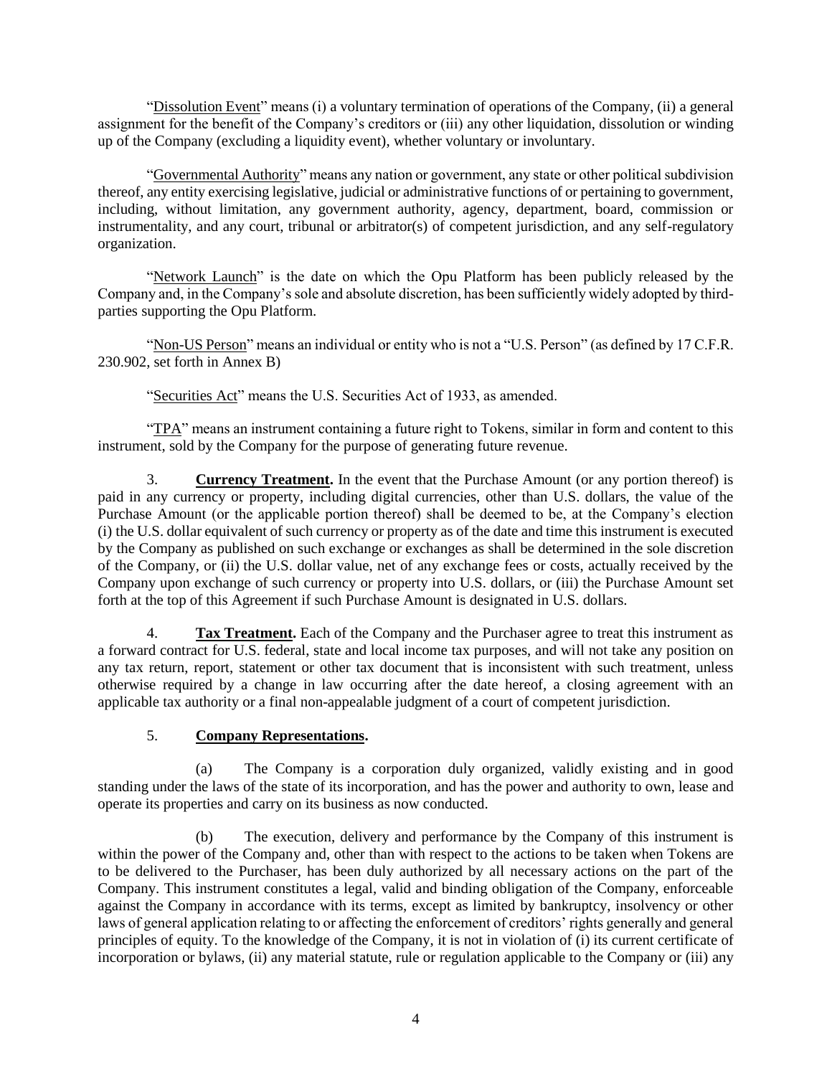"Dissolution Event" means (i) a voluntary termination of operations of the Company, (ii) a general assignment for the benefit of the Company's creditors or (iii) any other liquidation, dissolution or winding up of the Company (excluding a liquidity event), whether voluntary or involuntary.

"Governmental Authority" means any nation or government, any state or other political subdivision thereof, any entity exercising legislative, judicial or administrative functions of or pertaining to government, including, without limitation, any government authority, agency, department, board, commission or instrumentality, and any court, tribunal or arbitrator(s) of competent jurisdiction, and any self-regulatory organization.

"Network Launch" is the date on which the Opu Platform has been publicly released by the Company and, in the Company's sole and absolute discretion, has been sufficiently widely adopted by thirdparties supporting the Opu Platform.

"Non-US Person" means an individual or entity who is not a "U.S. Person" (as defined by 17 C.F.R. 230.902, set forth in Annex B)

"Securities Act" means the U.S. Securities Act of 1933, as amended.

"TPA" means an instrument containing a future right to Tokens, similar in form and content to this instrument, sold by the Company for the purpose of generating future revenue.

3. **Currency Treatment.** In the event that the Purchase Amount (or any portion thereof) is paid in any currency or property, including digital currencies, other than U.S. dollars, the value of the Purchase Amount (or the applicable portion thereof) shall be deemed to be, at the Company's election (i) the U.S. dollar equivalent of such currency or property as of the date and time this instrument is executed by the Company as published on such exchange or exchanges as shall be determined in the sole discretion of the Company, or (ii) the U.S. dollar value, net of any exchange fees or costs, actually received by the Company upon exchange of such currency or property into U.S. dollars, or (iii) the Purchase Amount set forth at the top of this Agreement if such Purchase Amount is designated in U.S. dollars.

4. **Tax Treatment.** Each of the Company and the Purchaser agree to treat this instrument as a forward contract for U.S. federal, state and local income tax purposes, and will not take any position on any tax return, report, statement or other tax document that is inconsistent with such treatment, unless otherwise required by a change in law occurring after the date hereof, a closing agreement with an applicable tax authority or a final non-appealable judgment of a court of competent jurisdiction.

# 5. **Company Representations.**

(a) The Company is a corporation duly organized, validly existing and in good standing under the laws of the state of its incorporation, and has the power and authority to own, lease and operate its properties and carry on its business as now conducted.

(b) The execution, delivery and performance by the Company of this instrument is within the power of the Company and, other than with respect to the actions to be taken when Tokens are to be delivered to the Purchaser, has been duly authorized by all necessary actions on the part of the Company. This instrument constitutes a legal, valid and binding obligation of the Company, enforceable against the Company in accordance with its terms, except as limited by bankruptcy, insolvency or other laws of general application relating to or affecting the enforcement of creditors' rights generally and general principles of equity. To the knowledge of the Company, it is not in violation of (i) its current certificate of incorporation or bylaws, (ii) any material statute, rule or regulation applicable to the Company or (iii) any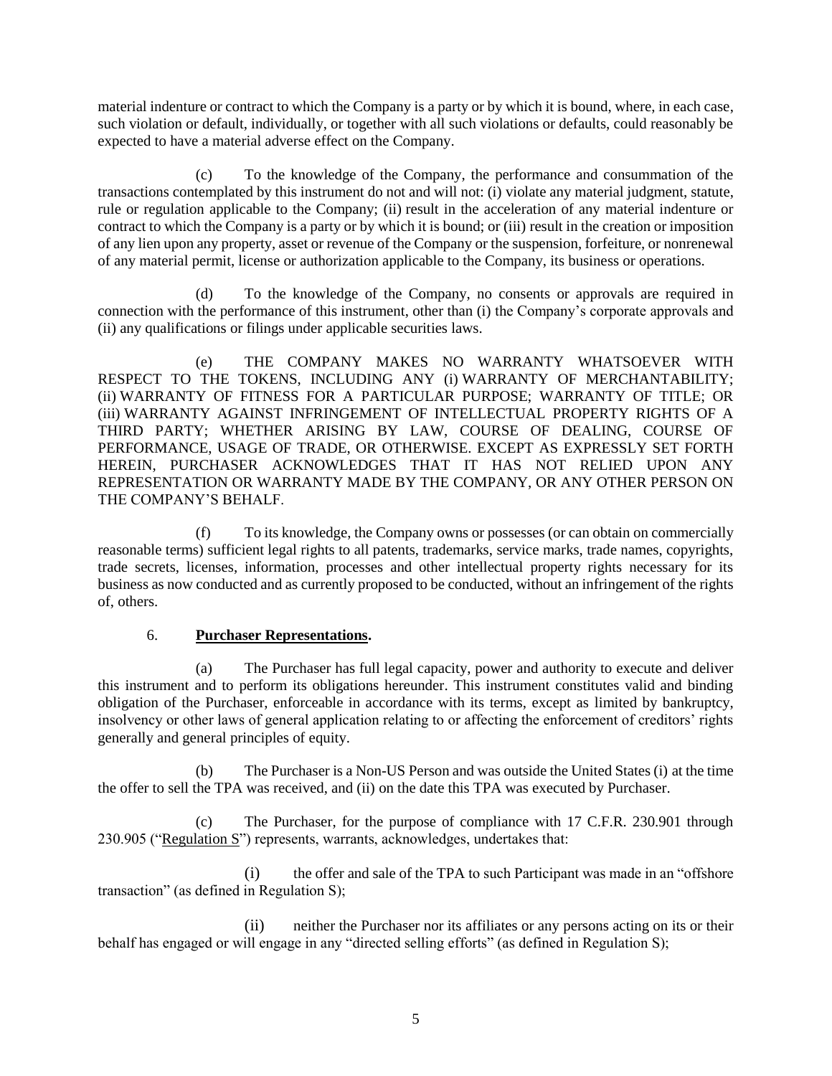material indenture or contract to which the Company is a party or by which it is bound, where, in each case, such violation or default, individually, or together with all such violations or defaults, could reasonably be expected to have a material adverse effect on the Company.

(c) To the knowledge of the Company, the performance and consummation of the transactions contemplated by this instrument do not and will not: (i) violate any material judgment, statute, rule or regulation applicable to the Company; (ii) result in the acceleration of any material indenture or contract to which the Company is a party or by which it is bound; or (iii) result in the creation or imposition of any lien upon any property, asset or revenue of the Company or the suspension, forfeiture, or nonrenewal of any material permit, license or authorization applicable to the Company, its business or operations.

(d) To the knowledge of the Company, no consents or approvals are required in connection with the performance of this instrument, other than (i) the Company's corporate approvals and (ii) any qualifications or filings under applicable securities laws.

(e) THE COMPANY MAKES NO WARRANTY WHATSOEVER WITH RESPECT TO THE TOKENS, INCLUDING ANY (i) WARRANTY OF MERCHANTABILITY; (ii) WARRANTY OF FITNESS FOR A PARTICULAR PURPOSE; WARRANTY OF TITLE; OR (iii) WARRANTY AGAINST INFRINGEMENT OF INTELLECTUAL PROPERTY RIGHTS OF A THIRD PARTY; WHETHER ARISING BY LAW, COURSE OF DEALING, COURSE OF PERFORMANCE, USAGE OF TRADE, OR OTHERWISE. EXCEPT AS EXPRESSLY SET FORTH HEREIN, PURCHASER ACKNOWLEDGES THAT IT HAS NOT RELIED UPON ANY REPRESENTATION OR WARRANTY MADE BY THE COMPANY, OR ANY OTHER PERSON ON THE COMPANY'S BEHALF.

(f) To its knowledge, the Company owns or possesses (or can obtain on commercially reasonable terms) sufficient legal rights to all patents, trademarks, service marks, trade names, copyrights, trade secrets, licenses, information, processes and other intellectual property rights necessary for its business as now conducted and as currently proposed to be conducted, without an infringement of the rights of, others.

# 6. **Purchaser Representations.**

(a) The Purchaser has full legal capacity, power and authority to execute and deliver this instrument and to perform its obligations hereunder. This instrument constitutes valid and binding obligation of the Purchaser, enforceable in accordance with its terms, except as limited by bankruptcy, insolvency or other laws of general application relating to or affecting the enforcement of creditors' rights generally and general principles of equity.

(b) The Purchaser is a Non-US Person and was outside the United States (i) at the time the offer to sell the TPA was received, and (ii) on the date this TPA was executed by Purchaser.

(c) The Purchaser, for the purpose of compliance with 17 C.F.R. 230.901 through 230.905 ("Regulation S") represents, warrants, acknowledges, undertakes that:

(i) the offer and sale of the TPA to such Participant was made in an "offshore transaction" (as defined in Regulation S);

(ii) neither the Purchaser nor its affiliates or any persons acting on its or their behalf has engaged or will engage in any "directed selling efforts" (as defined in Regulation S);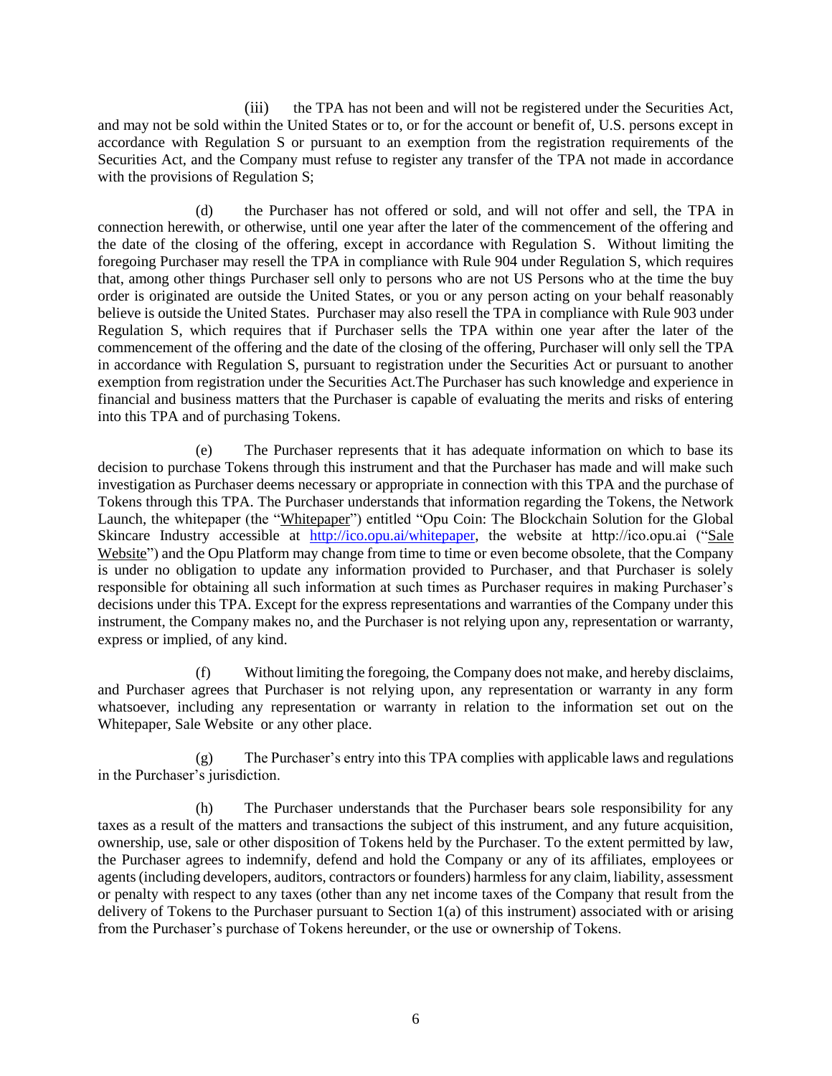(iii) the TPA has not been and will not be registered under the Securities Act, and may not be sold within the United States or to, or for the account or benefit of, U.S. persons except in accordance with Regulation S or pursuant to an exemption from the registration requirements of the Securities Act, and the Company must refuse to register any transfer of the TPA not made in accordance with the provisions of Regulation S;

(d) the Purchaser has not offered or sold, and will not offer and sell, the TPA in connection herewith, or otherwise, until one year after the later of the commencement of the offering and the date of the closing of the offering, except in accordance with Regulation S. Without limiting the foregoing Purchaser may resell the TPA in compliance with Rule 904 under Regulation S, which requires that, among other things Purchaser sell only to persons who are not US Persons who at the time the buy order is originated are outside the United States, or you or any person acting on your behalf reasonably believe is outside the United States. Purchaser may also resell the TPA in compliance with Rule 903 under Regulation S, which requires that if Purchaser sells the TPA within one year after the later of the commencement of the offering and the date of the closing of the offering, Purchaser will only sell the TPA in accordance with Regulation S, pursuant to registration under the Securities Act or pursuant to another exemption from registration under the Securities Act.The Purchaser has such knowledge and experience in financial and business matters that the Purchaser is capable of evaluating the merits and risks of entering into this TPA and of purchasing Tokens.

(e) The Purchaser represents that it has adequate information on which to base its decision to purchase Tokens through this instrument and that the Purchaser has made and will make such investigation as Purchaser deems necessary or appropriate in connection with this TPA and the purchase of Tokens through this TPA. The Purchaser understands that information regarding the Tokens, the Network Launch, the whitepaper (the "Whitepaper") entitled "Opu Coin: The Blockchain Solution for the Global Skincare Industry accessible at [http://ico.opu.ai/whitepaper,](http://ico.opu.ai/whitepaper) the website at http://ico.opu.ai ("Sale Website") and the Opu Platform may change from time to time or even become obsolete, that the Company is under no obligation to update any information provided to Purchaser, and that Purchaser is solely responsible for obtaining all such information at such times as Purchaser requires in making Purchaser's decisions under this TPA. Except for the express representations and warranties of the Company under this instrument, the Company makes no, and the Purchaser is not relying upon any, representation or warranty, express or implied, of any kind.

(f) Without limiting the foregoing, the Company does not make, and hereby disclaims, and Purchaser agrees that Purchaser is not relying upon, any representation or warranty in any form whatsoever, including any representation or warranty in relation to the information set out on the Whitepaper, Sale Website or any other place.

(g) The Purchaser's entry into this TPA complies with applicable laws and regulations in the Purchaser's jurisdiction.

(h) The Purchaser understands that the Purchaser bears sole responsibility for any taxes as a result of the matters and transactions the subject of this instrument, and any future acquisition, ownership, use, sale or other disposition of Tokens held by the Purchaser. To the extent permitted by law, the Purchaser agrees to indemnify, defend and hold the Company or any of its affiliates, employees or agents (including developers, auditors, contractors or founders) harmless for any claim, liability, assessment or penalty with respect to any taxes (other than any net income taxes of the Company that result from the delivery of Tokens to the Purchaser pursuant to Section 1(a) of this instrument) associated with or arising from the Purchaser's purchase of Tokens hereunder, or the use or ownership of Tokens.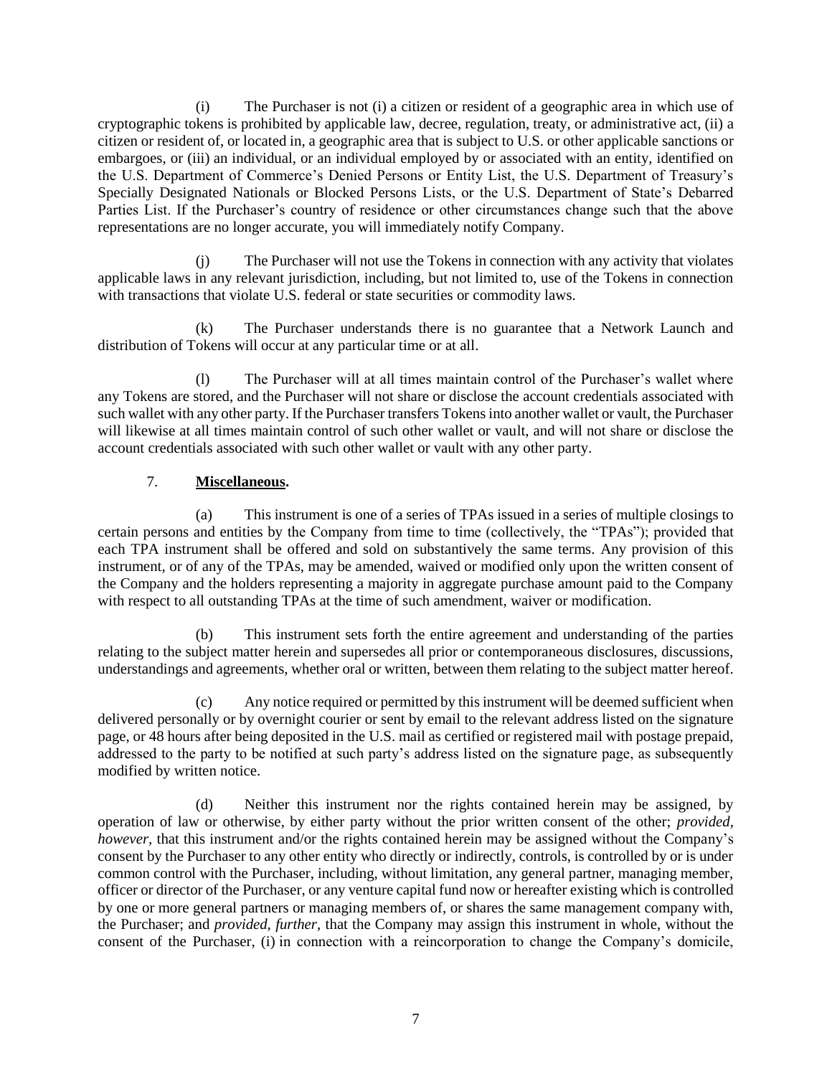(i) The Purchaser is not (i) a citizen or resident of a geographic area in which use of cryptographic tokens is prohibited by applicable law, decree, regulation, treaty, or administrative act, (ii) a citizen or resident of, or located in, a geographic area that is subject to U.S. or other applicable sanctions or embargoes, or (iii) an individual, or an individual employed by or associated with an entity, identified on the U.S. Department of Commerce's Denied Persons or Entity List, the U.S. Department of Treasury's Specially Designated Nationals or Blocked Persons Lists, or the U.S. Department of State's Debarred Parties List. If the Purchaser's country of residence or other circumstances change such that the above representations are no longer accurate, you will immediately notify Company.

(j) The Purchaser will not use the Tokens in connection with any activity that violates applicable laws in any relevant jurisdiction, including, but not limited to, use of the Tokens in connection with transactions that violate U.S. federal or state securities or commodity laws.

(k) The Purchaser understands there is no guarantee that a Network Launch and distribution of Tokens will occur at any particular time or at all.

(l) The Purchaser will at all times maintain control of the Purchaser's wallet where any Tokens are stored, and the Purchaser will not share or disclose the account credentials associated with such wallet with any other party. If the Purchaser transfers Tokens into another wallet or vault, the Purchaser will likewise at all times maintain control of such other wallet or vault, and will not share or disclose the account credentials associated with such other wallet or vault with any other party.

# 7. **Miscellaneous.**

(a) This instrument is one of a series of TPAs issued in a series of multiple closings to certain persons and entities by the Company from time to time (collectively, the "TPAs"); provided that each TPA instrument shall be offered and sold on substantively the same terms. Any provision of this instrument, or of any of the TPAs, may be amended, waived or modified only upon the written consent of the Company and the holders representing a majority in aggregate purchase amount paid to the Company with respect to all outstanding TPAs at the time of such amendment, waiver or modification.

(b) This instrument sets forth the entire agreement and understanding of the parties relating to the subject matter herein and supersedes all prior or contemporaneous disclosures, discussions, understandings and agreements, whether oral or written, between them relating to the subject matter hereof.

(c) Any notice required or permitted by this instrument will be deemed sufficient when delivered personally or by overnight courier or sent by email to the relevant address listed on the signature page, or 48 hours after being deposited in the U.S. mail as certified or registered mail with postage prepaid, addressed to the party to be notified at such party's address listed on the signature page, as subsequently modified by written notice.

(d) Neither this instrument nor the rights contained herein may be assigned, by operation of law or otherwise, by either party without the prior written consent of the other; *provided, however,* that this instrument and/or the rights contained herein may be assigned without the Company's consent by the Purchaser to any other entity who directly or indirectly, controls, is controlled by or is under common control with the Purchaser, including, without limitation, any general partner, managing member, officer or director of the Purchaser, or any venture capital fund now or hereafter existing which is controlled by one or more general partners or managing members of, or shares the same management company with, the Purchaser; and *provided, further,* that the Company may assign this instrument in whole, without the consent of the Purchaser, (i) in connection with a reincorporation to change the Company's domicile,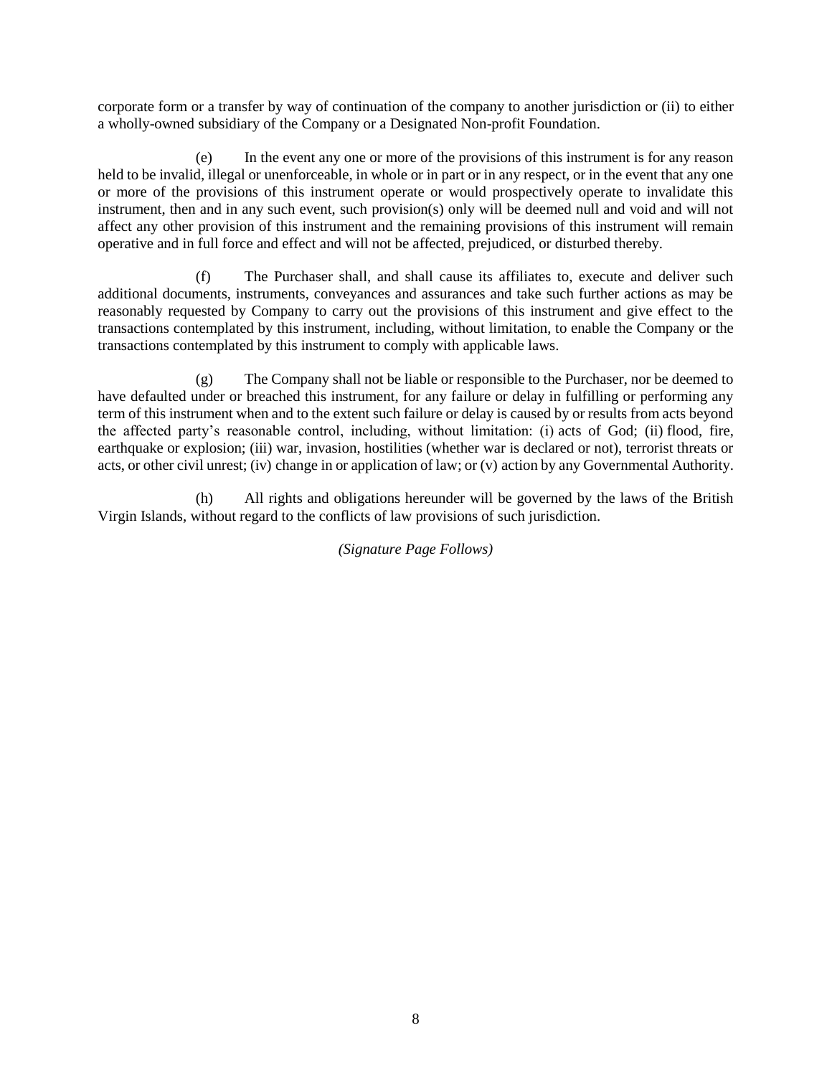corporate form or a transfer by way of continuation of the company to another jurisdiction or (ii) to either a wholly-owned subsidiary of the Company or a Designated Non-profit Foundation.

(e) In the event any one or more of the provisions of this instrument is for any reason held to be invalid, illegal or unenforceable, in whole or in part or in any respect, or in the event that any one or more of the provisions of this instrument operate or would prospectively operate to invalidate this instrument, then and in any such event, such provision(s) only will be deemed null and void and will not affect any other provision of this instrument and the remaining provisions of this instrument will remain operative and in full force and effect and will not be affected, prejudiced, or disturbed thereby.

(f) The Purchaser shall, and shall cause its affiliates to, execute and deliver such additional documents, instruments, conveyances and assurances and take such further actions as may be reasonably requested by Company to carry out the provisions of this instrument and give effect to the transactions contemplated by this instrument, including, without limitation, to enable the Company or the transactions contemplated by this instrument to comply with applicable laws.

(g) The Company shall not be liable or responsible to the Purchaser, nor be deemed to have defaulted under or breached this instrument, for any failure or delay in fulfilling or performing any term of this instrument when and to the extent such failure or delay is caused by or results from acts beyond the affected party's reasonable control, including, without limitation: (i) acts of God; (ii) flood, fire, earthquake or explosion; (iii) war, invasion, hostilities (whether war is declared or not), terrorist threats or acts, or other civil unrest; (iv) change in or application of law; or (v) action by any Governmental Authority.

(h) All rights and obligations hereunder will be governed by the laws of the British Virgin Islands, without regard to the conflicts of law provisions of such jurisdiction.

*(Signature Page Follows)*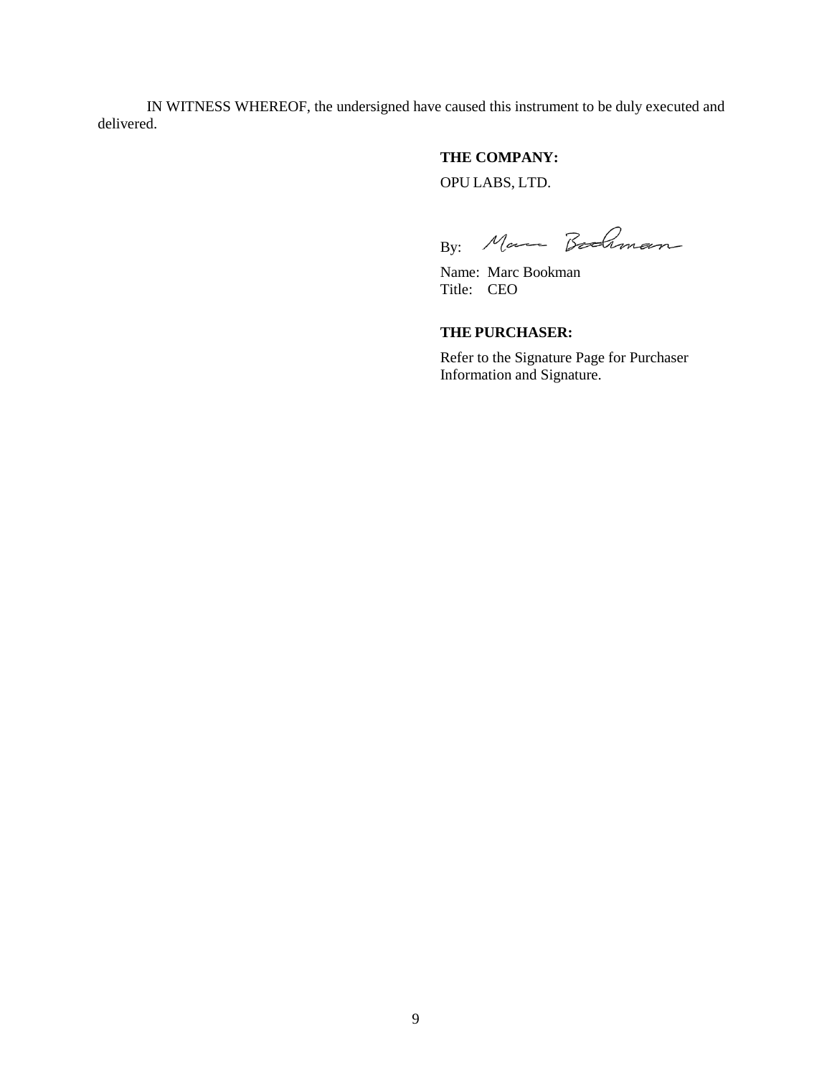IN WITNESS WHEREOF, the undersigned have caused this instrument to be duly executed and delivered.

# **THE COMPANY:** OPU LABS, LTD.

By: Marca Bodiman

Name: Marc Bookman Title: CEO

# **THE PURCHASER:**

Refer to the Signature Page for Purchaser Information and Signature.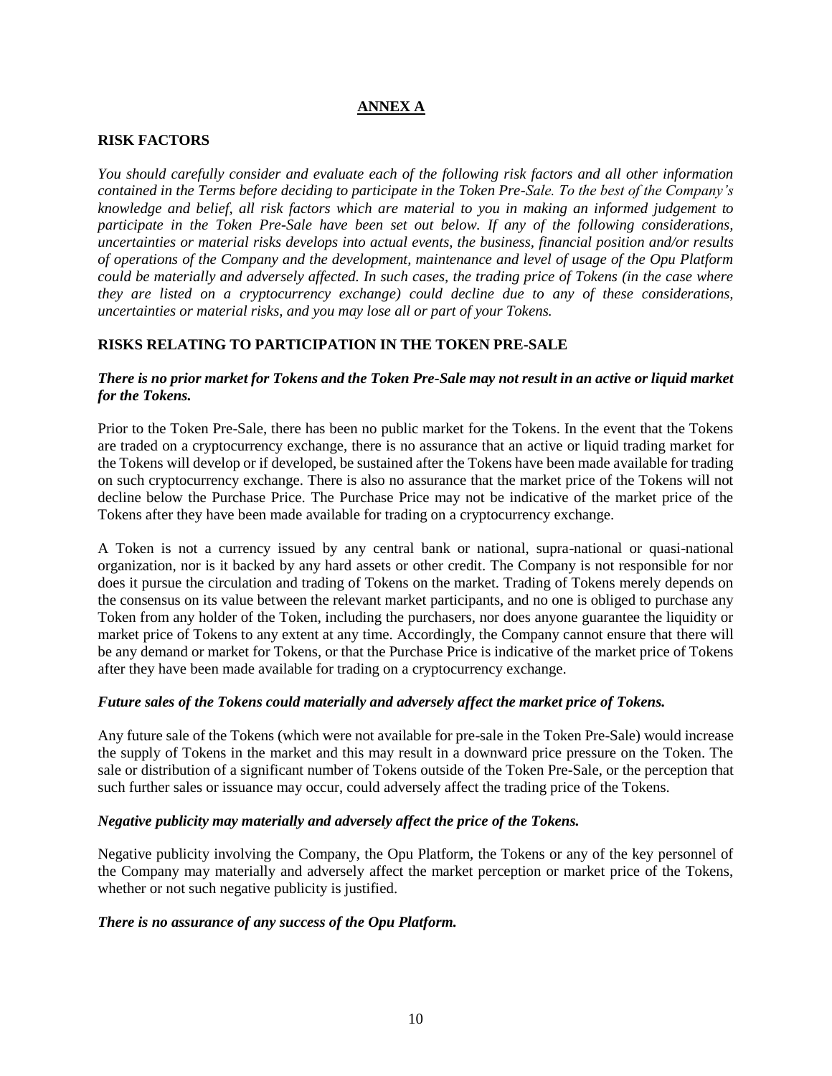# **ANNEX A**

### **RISK FACTORS**

*You should carefully consider and evaluate each of the following risk factors and all other information contained in the Terms before deciding to participate in the Token Pre-Sale. To the best of the Company's knowledge and belief, all risk factors which are material to you in making an informed judgement to participate in the Token Pre-Sale have been set out below. If any of the following considerations, uncertainties or material risks develops into actual events, the business, financial position and/or results of operations of the Company and the development, maintenance and level of usage of the Opu Platform could be materially and adversely affected. In such cases, the trading price of Tokens (in the case where they are listed on a cryptocurrency exchange) could decline due to any of these considerations, uncertainties or material risks, and you may lose all or part of your Tokens.*

# **RISKS RELATING TO PARTICIPATION IN THE TOKEN PRE-SALE**

### *There is no prior market for Tokens and the Token Pre-Sale may not result in an active or liquid market for the Tokens.*

Prior to the Token Pre-Sale, there has been no public market for the Tokens. In the event that the Tokens are traded on a cryptocurrency exchange, there is no assurance that an active or liquid trading market for the Tokens will develop or if developed, be sustained after the Tokens have been made available for trading on such cryptocurrency exchange. There is also no assurance that the market price of the Tokens will not decline below the Purchase Price. The Purchase Price may not be indicative of the market price of the Tokens after they have been made available for trading on a cryptocurrency exchange.

A Token is not a currency issued by any central bank or national, supra-national or quasi-national organization, nor is it backed by any hard assets or other credit. The Company is not responsible for nor does it pursue the circulation and trading of Tokens on the market. Trading of Tokens merely depends on the consensus on its value between the relevant market participants, and no one is obliged to purchase any Token from any holder of the Token, including the purchasers, nor does anyone guarantee the liquidity or market price of Tokens to any extent at any time. Accordingly, the Company cannot ensure that there will be any demand or market for Tokens, or that the Purchase Price is indicative of the market price of Tokens after they have been made available for trading on a cryptocurrency exchange.

#### *Future sales of the Tokens could materially and adversely affect the market price of Tokens.*

Any future sale of the Tokens (which were not available for pre-sale in the Token Pre-Sale) would increase the supply of Tokens in the market and this may result in a downward price pressure on the Token. The sale or distribution of a significant number of Tokens outside of the Token Pre-Sale, or the perception that such further sales or issuance may occur, could adversely affect the trading price of the Tokens.

#### *Negative publicity may materially and adversely affect the price of the Tokens.*

Negative publicity involving the Company, the Opu Platform, the Tokens or any of the key personnel of the Company may materially and adversely affect the market perception or market price of the Tokens, whether or not such negative publicity is justified.

#### *There is no assurance of any success of the Opu Platform.*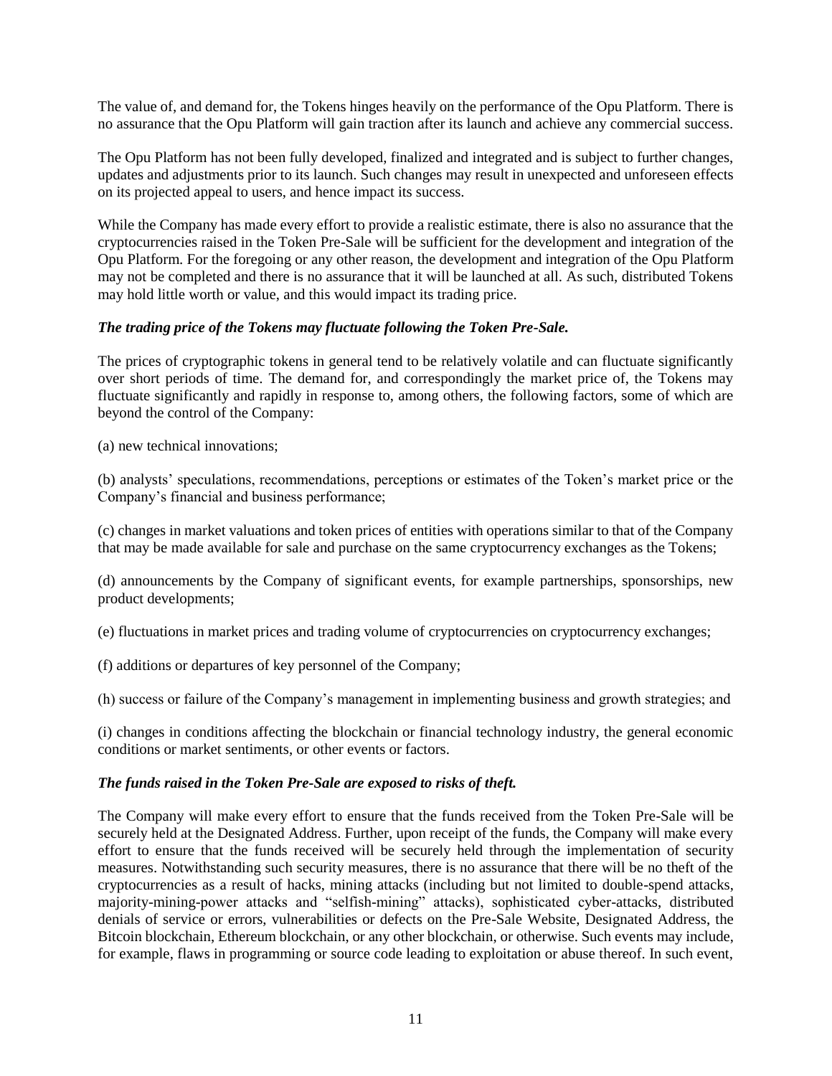The value of, and demand for, the Tokens hinges heavily on the performance of the Opu Platform. There is no assurance that the Opu Platform will gain traction after its launch and achieve any commercial success.

The Opu Platform has not been fully developed, finalized and integrated and is subject to further changes, updates and adjustments prior to its launch. Such changes may result in unexpected and unforeseen effects on its projected appeal to users, and hence impact its success.

While the Company has made every effort to provide a realistic estimate, there is also no assurance that the cryptocurrencies raised in the Token Pre-Sale will be sufficient for the development and integration of the Opu Platform. For the foregoing or any other reason, the development and integration of the Opu Platform may not be completed and there is no assurance that it will be launched at all. As such, distributed Tokens may hold little worth or value, and this would impact its trading price.

# *The trading price of the Tokens may fluctuate following the Token Pre-Sale.*

The prices of cryptographic tokens in general tend to be relatively volatile and can fluctuate significantly over short periods of time. The demand for, and correspondingly the market price of, the Tokens may fluctuate significantly and rapidly in response to, among others, the following factors, some of which are beyond the control of the Company:

(a) new technical innovations;

(b) analysts' speculations, recommendations, perceptions or estimates of the Token's market price or the Company's financial and business performance;

(c) changes in market valuations and token prices of entities with operations similar to that of the Company that may be made available for sale and purchase on the same cryptocurrency exchanges as the Tokens;

(d) announcements by the Company of significant events, for example partnerships, sponsorships, new product developments;

(e) fluctuations in market prices and trading volume of cryptocurrencies on cryptocurrency exchanges;

(f) additions or departures of key personnel of the Company;

(h) success or failure of the Company's management in implementing business and growth strategies; and

(i) changes in conditions affecting the blockchain or financial technology industry, the general economic conditions or market sentiments, or other events or factors.

# *The funds raised in the Token Pre-Sale are exposed to risks of theft.*

The Company will make every effort to ensure that the funds received from the Token Pre-Sale will be securely held at the Designated Address. Further, upon receipt of the funds, the Company will make every effort to ensure that the funds received will be securely held through the implementation of security measures. Notwithstanding such security measures, there is no assurance that there will be no theft of the cryptocurrencies as a result of hacks, mining attacks (including but not limited to double-spend attacks, majority-mining-power attacks and "selfish-mining" attacks), sophisticated cyber-attacks, distributed denials of service or errors, vulnerabilities or defects on the Pre-Sale Website, Designated Address, the Bitcoin blockchain, Ethereum blockchain, or any other blockchain, or otherwise. Such events may include, for example, flaws in programming or source code leading to exploitation or abuse thereof. In such event,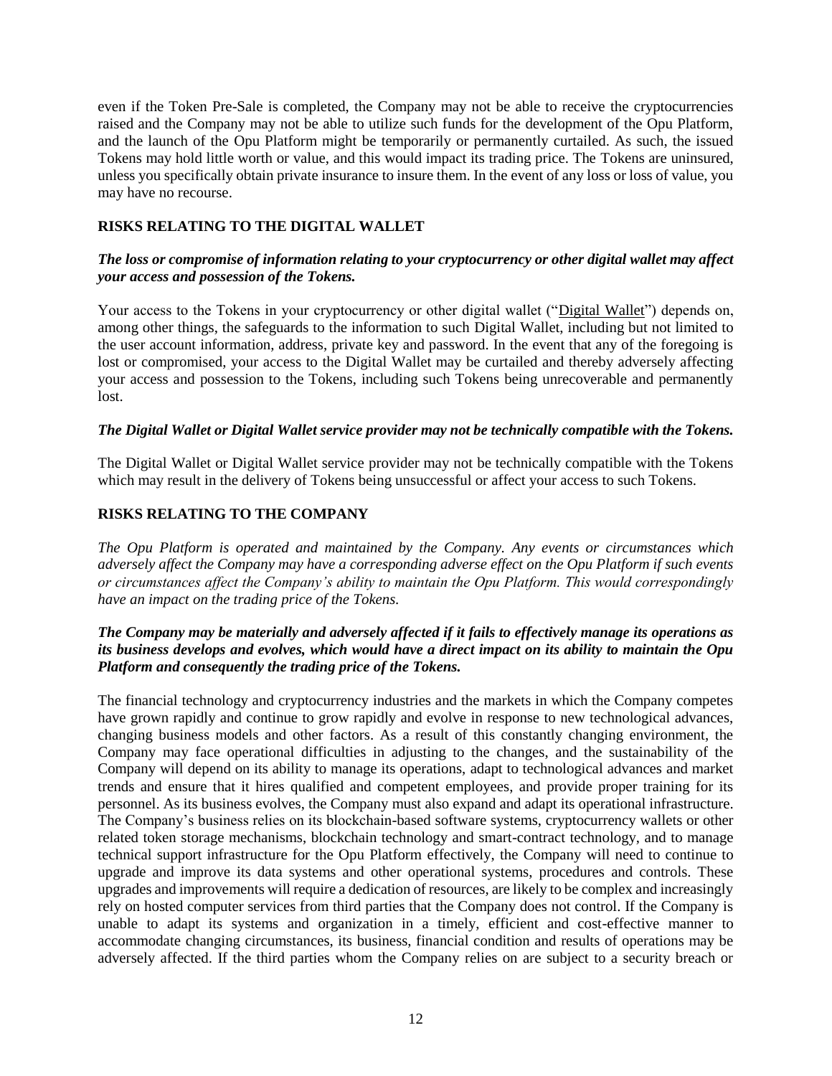even if the Token Pre-Sale is completed, the Company may not be able to receive the cryptocurrencies raised and the Company may not be able to utilize such funds for the development of the Opu Platform, and the launch of the Opu Platform might be temporarily or permanently curtailed. As such, the issued Tokens may hold little worth or value, and this would impact its trading price. The Tokens are uninsured, unless you specifically obtain private insurance to insure them. In the event of any loss or loss of value, you may have no recourse.

# **RISKS RELATING TO THE DIGITAL WALLET**

# *The loss or compromise of information relating to your cryptocurrency or other digital wallet may affect your access and possession of the Tokens.*

Your access to the Tokens in your cryptocurrency or other digital wallet ("Digital Wallet") depends on, among other things, the safeguards to the information to such Digital Wallet, including but not limited to the user account information, address, private key and password. In the event that any of the foregoing is lost or compromised, your access to the Digital Wallet may be curtailed and thereby adversely affecting your access and possession to the Tokens, including such Tokens being unrecoverable and permanently lost.

# *The Digital Wallet or Digital Wallet service provider may not be technically compatible with the Tokens.*

The Digital Wallet or Digital Wallet service provider may not be technically compatible with the Tokens which may result in the delivery of Tokens being unsuccessful or affect your access to such Tokens.

# **RISKS RELATING TO THE COMPANY**

*The Opu Platform is operated and maintained by the Company. Any events or circumstances which adversely affect the Company may have a corresponding adverse effect on the Opu Platform if such events or circumstances affect the Company's ability to maintain the Opu Platform. This would correspondingly have an impact on the trading price of the Tokens.*

# *The Company may be materially and adversely affected if it fails to effectively manage its operations as its business develops and evolves, which would have a direct impact on its ability to maintain the Opu Platform and consequently the trading price of the Tokens.*

The financial technology and cryptocurrency industries and the markets in which the Company competes have grown rapidly and continue to grow rapidly and evolve in response to new technological advances, changing business models and other factors. As a result of this constantly changing environment, the Company may face operational difficulties in adjusting to the changes, and the sustainability of the Company will depend on its ability to manage its operations, adapt to technological advances and market trends and ensure that it hires qualified and competent employees, and provide proper training for its personnel. As its business evolves, the Company must also expand and adapt its operational infrastructure. The Company's business relies on its blockchain-based software systems, cryptocurrency wallets or other related token storage mechanisms, blockchain technology and smart-contract technology, and to manage technical support infrastructure for the Opu Platform effectively, the Company will need to continue to upgrade and improve its data systems and other operational systems, procedures and controls. These upgrades and improvements will require a dedication of resources, are likely to be complex and increasingly rely on hosted computer services from third parties that the Company does not control. If the Company is unable to adapt its systems and organization in a timely, efficient and cost-effective manner to accommodate changing circumstances, its business, financial condition and results of operations may be adversely affected. If the third parties whom the Company relies on are subject to a security breach or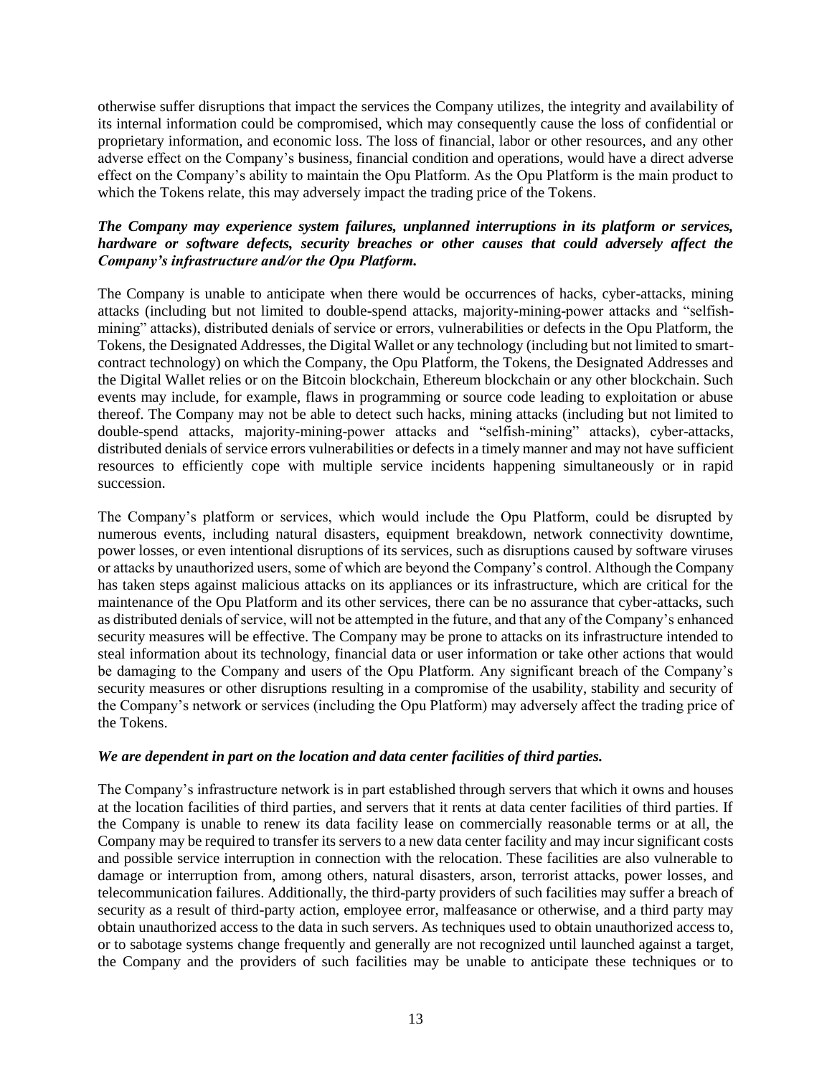otherwise suffer disruptions that impact the services the Company utilizes, the integrity and availability of its internal information could be compromised, which may consequently cause the loss of confidential or proprietary information, and economic loss. The loss of financial, labor or other resources, and any other adverse effect on the Company's business, financial condition and operations, would have a direct adverse effect on the Company's ability to maintain the Opu Platform. As the Opu Platform is the main product to which the Tokens relate, this may adversely impact the trading price of the Tokens.

# *The Company may experience system failures, unplanned interruptions in its platform or services, hardware or software defects, security breaches or other causes that could adversely affect the Company's infrastructure and/or the Opu Platform.*

The Company is unable to anticipate when there would be occurrences of hacks, cyber-attacks, mining attacks (including but not limited to double-spend attacks, majority-mining-power attacks and "selfishmining" attacks), distributed denials of service or errors, vulnerabilities or defects in the Opu Platform, the Tokens, the Designated Addresses, the Digital Wallet or any technology (including but not limited to smartcontract technology) on which the Company, the Opu Platform, the Tokens, the Designated Addresses and the Digital Wallet relies or on the Bitcoin blockchain, Ethereum blockchain or any other blockchain. Such events may include, for example, flaws in programming or source code leading to exploitation or abuse thereof. The Company may not be able to detect such hacks, mining attacks (including but not limited to double-spend attacks, majority-mining-power attacks and "selfish-mining" attacks), cyber-attacks, distributed denials of service errors vulnerabilities or defects in a timely manner and may not have sufficient resources to efficiently cope with multiple service incidents happening simultaneously or in rapid succession.

The Company's platform or services, which would include the Opu Platform, could be disrupted by numerous events, including natural disasters, equipment breakdown, network connectivity downtime, power losses, or even intentional disruptions of its services, such as disruptions caused by software viruses or attacks by unauthorized users, some of which are beyond the Company's control. Although the Company has taken steps against malicious attacks on its appliances or its infrastructure, which are critical for the maintenance of the Opu Platform and its other services, there can be no assurance that cyber-attacks, such as distributed denials of service, will not be attempted in the future, and that any of the Company's enhanced security measures will be effective. The Company may be prone to attacks on its infrastructure intended to steal information about its technology, financial data or user information or take other actions that would be damaging to the Company and users of the Opu Platform. Any significant breach of the Company's security measures or other disruptions resulting in a compromise of the usability, stability and security of the Company's network or services (including the Opu Platform) may adversely affect the trading price of the Tokens.

# *We are dependent in part on the location and data center facilities of third parties.*

The Company's infrastructure network is in part established through servers that which it owns and houses at the location facilities of third parties, and servers that it rents at data center facilities of third parties. If the Company is unable to renew its data facility lease on commercially reasonable terms or at all, the Company may be required to transfer its servers to a new data center facility and may incur significant costs and possible service interruption in connection with the relocation. These facilities are also vulnerable to damage or interruption from, among others, natural disasters, arson, terrorist attacks, power losses, and telecommunication failures. Additionally, the third-party providers of such facilities may suffer a breach of security as a result of third-party action, employee error, malfeasance or otherwise, and a third party may obtain unauthorized access to the data in such servers. As techniques used to obtain unauthorized access to, or to sabotage systems change frequently and generally are not recognized until launched against a target, the Company and the providers of such facilities may be unable to anticipate these techniques or to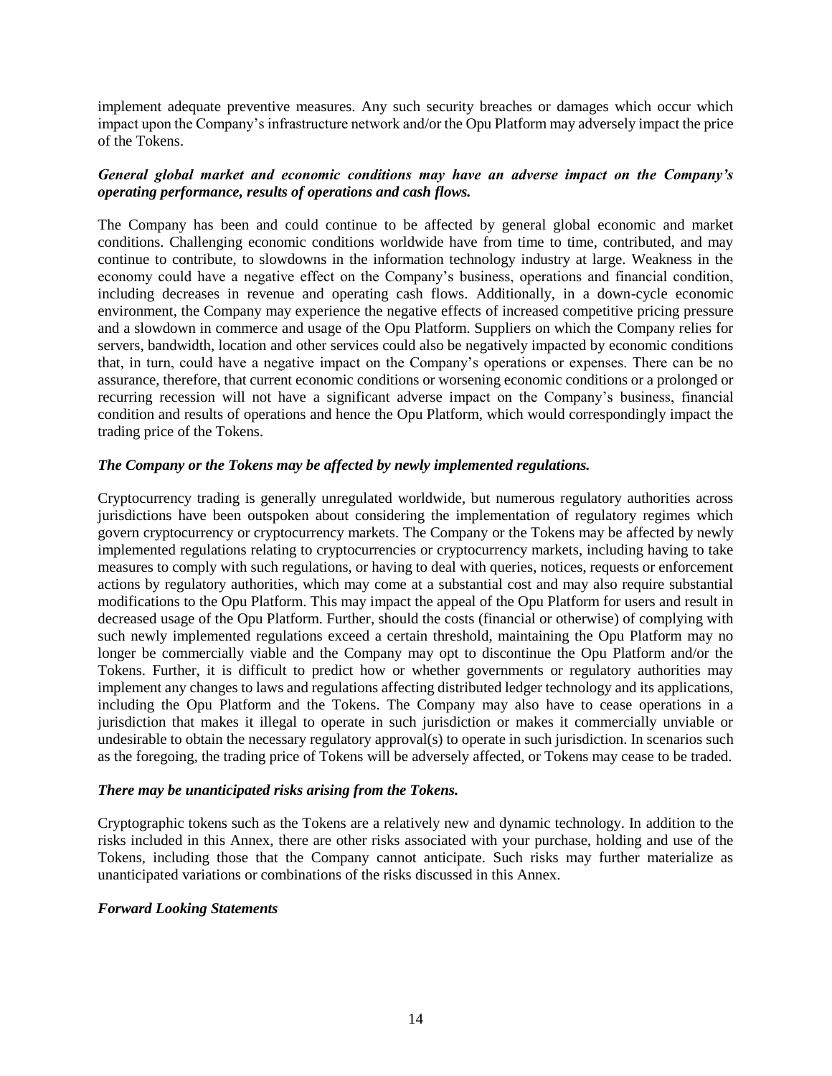implement adequate preventive measures. Any such security breaches or damages which occur which impact upon the Company's infrastructure network and/or the Opu Platform may adversely impact the price of the Tokens.

# *General global market and economic conditions may have an adverse impact on the Company's operating performance, results of operations and cash flows.*

The Company has been and could continue to be affected by general global economic and market conditions. Challenging economic conditions worldwide have from time to time, contributed, and may continue to contribute, to slowdowns in the information technology industry at large. Weakness in the economy could have a negative effect on the Company's business, operations and financial condition, including decreases in revenue and operating cash flows. Additionally, in a down-cycle economic environment, the Company may experience the negative effects of increased competitive pricing pressure and a slowdown in commerce and usage of the Opu Platform. Suppliers on which the Company relies for servers, bandwidth, location and other services could also be negatively impacted by economic conditions that, in turn, could have a negative impact on the Company's operations or expenses. There can be no assurance, therefore, that current economic conditions or worsening economic conditions or a prolonged or recurring recession will not have a significant adverse impact on the Company's business, financial condition and results of operations and hence the Opu Platform, which would correspondingly impact the trading price of the Tokens.

# *The Company or the Tokens may be affected by newly implemented regulations.*

Cryptocurrency trading is generally unregulated worldwide, but numerous regulatory authorities across jurisdictions have been outspoken about considering the implementation of regulatory regimes which govern cryptocurrency or cryptocurrency markets. The Company or the Tokens may be affected by newly implemented regulations relating to cryptocurrencies or cryptocurrency markets, including having to take measures to comply with such regulations, or having to deal with queries, notices, requests or enforcement actions by regulatory authorities, which may come at a substantial cost and may also require substantial modifications to the Opu Platform. This may impact the appeal of the Opu Platform for users and result in decreased usage of the Opu Platform. Further, should the costs (financial or otherwise) of complying with such newly implemented regulations exceed a certain threshold, maintaining the Opu Platform may no longer be commercially viable and the Company may opt to discontinue the Opu Platform and/or the Tokens. Further, it is difficult to predict how or whether governments or regulatory authorities may implement any changes to laws and regulations affecting distributed ledger technology and its applications, including the Opu Platform and the Tokens. The Company may also have to cease operations in a jurisdiction that makes it illegal to operate in such jurisdiction or makes it commercially unviable or undesirable to obtain the necessary regulatory approval(s) to operate in such jurisdiction. In scenarios such as the foregoing, the trading price of Tokens will be adversely affected, or Tokens may cease to be traded.

# *There may be unanticipated risks arising from the Tokens.*

Cryptographic tokens such as the Tokens are a relatively new and dynamic technology. In addition to the risks included in this Annex, there are other risks associated with your purchase, holding and use of the Tokens, including those that the Company cannot anticipate. Such risks may further materialize as unanticipated variations or combinations of the risks discussed in this Annex.

# *Forward Looking Statements*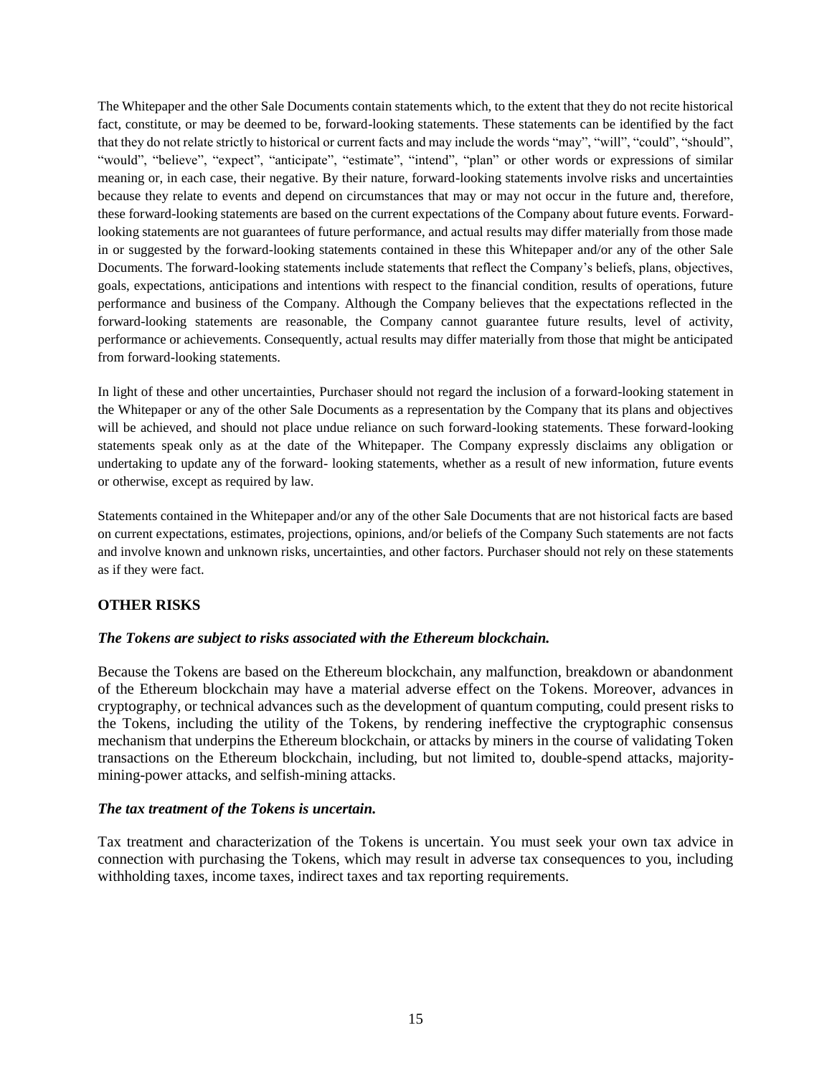The Whitepaper and the other Sale Documents contain statements which, to the extent that they do not recite historical fact, constitute, or may be deemed to be, forward-looking statements. These statements can be identified by the fact that they do not relate strictly to historical or current facts and may include the words "may", "will", "could", "should", "would", "believe", "expect", "anticipate", "estimate", "intend", "plan" or other words or expressions of similar meaning or, in each case, their negative. By their nature, forward-looking statements involve risks and uncertainties because they relate to events and depend on circumstances that may or may not occur in the future and, therefore, these forward-looking statements are based on the current expectations of the Company about future events. Forwardlooking statements are not guarantees of future performance, and actual results may differ materially from those made in or suggested by the forward-looking statements contained in these this Whitepaper and/or any of the other Sale Documents. The forward-looking statements include statements that reflect the Company's beliefs, plans, objectives, goals, expectations, anticipations and intentions with respect to the financial condition, results of operations, future performance and business of the Company. Although the Company believes that the expectations reflected in the forward-looking statements are reasonable, the Company cannot guarantee future results, level of activity, performance or achievements. Consequently, actual results may differ materially from those that might be anticipated from forward-looking statements.

In light of these and other uncertainties, Purchaser should not regard the inclusion of a forward-looking statement in the Whitepaper or any of the other Sale Documents as a representation by the Company that its plans and objectives will be achieved, and should not place undue reliance on such forward-looking statements. These forward-looking statements speak only as at the date of the Whitepaper. The Company expressly disclaims any obligation or undertaking to update any of the forward- looking statements, whether as a result of new information, future events or otherwise, except as required by law.

Statements contained in the Whitepaper and/or any of the other Sale Documents that are not historical facts are based on current expectations, estimates, projections, opinions, and/or beliefs of the Company Such statements are not facts and involve known and unknown risks, uncertainties, and other factors. Purchaser should not rely on these statements as if they were fact.

# **OTHER RISKS**

# *The Tokens are subject to risks associated with the Ethereum blockchain.*

Because the Tokens are based on the Ethereum blockchain, any malfunction, breakdown or abandonment of the Ethereum blockchain may have a material adverse effect on the Tokens. Moreover, advances in cryptography, or technical advances such as the development of quantum computing, could present risks to the Tokens, including the utility of the Tokens, by rendering ineffective the cryptographic consensus mechanism that underpins the Ethereum blockchain, or attacks by miners in the course of validating Token transactions on the Ethereum blockchain, including, but not limited to, double-spend attacks, majoritymining-power attacks, and selfish-mining attacks.

#### *The tax treatment of the Tokens is uncertain.*

Tax treatment and characterization of the Tokens is uncertain. You must seek your own tax advice in connection with purchasing the Tokens, which may result in adverse tax consequences to you, including withholding taxes, income taxes, indirect taxes and tax reporting requirements.